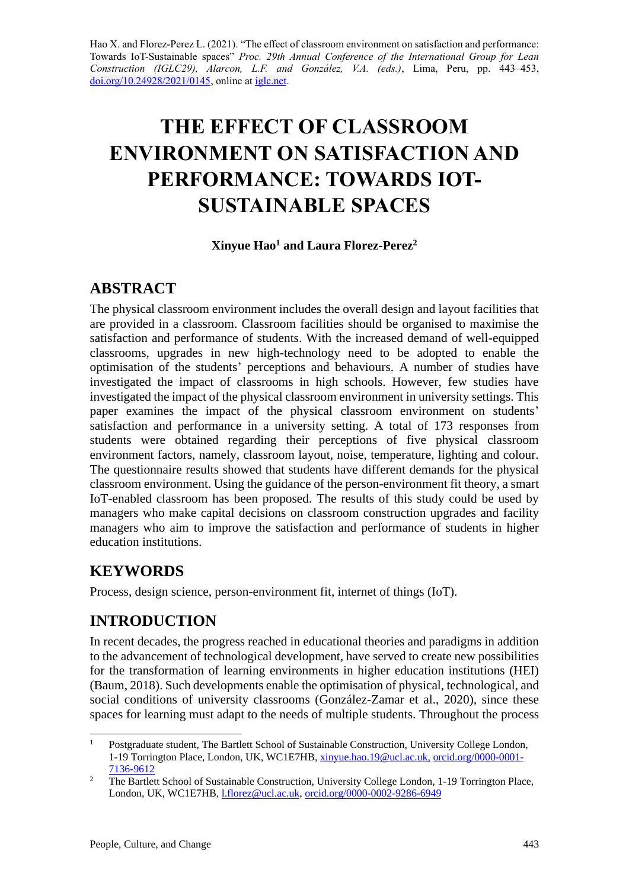Hao X. and Florez-Perez L. (2021). "The effect of classroom environment on satisfaction and performance: Towards IoT-Sustainable spaces" *Proc. 29th Annual Conference of the International Group for Lean Construction (IGLC29), Alarcon, L.F. and González, V.A. (eds.)*, Lima, Peru, pp. 443–453, [doi.org/10.24928/2021/0145,](https://doi.org/10.24928/2021/0145) online a[t iglc.net.](http://iglc.net/)

# **THE EFFECT OF CLASSROOM ENVIRONMENT ON SATISFACTION AND PERFORMANCE: TOWARDS IOT-SUSTAINABLE SPACES**

**Xinyue Hao<sup>1</sup> and Laura Florez-Perez<sup>2</sup>**

# **ABSTRACT**

The physical classroom environment includes the overall design and layout facilities that are provided in a classroom. Classroom facilities should be organised to maximise the satisfaction and performance of students. With the increased demand of well-equipped classrooms, upgrades in new high-technology need to be adopted to enable the optimisation of the students' perceptions and behaviours. A number of studies have investigated the impact of classrooms in high schools. However, few studies have investigated the impact of the physical classroom environment in university settings. This paper examines the impact of the physical classroom environment on students' satisfaction and performance in a university setting. A total of 173 responses from students were obtained regarding their perceptions of five physical classroom environment factors, namely, classroom layout, noise, temperature, lighting and colour. The questionnaire results showed that students have different demands for the physical classroom environment. Using the guidance of the person-environment fit theory, a smart IoT-enabled classroom has been proposed. The results of this study could be used by managers who make capital decisions on classroom construction upgrades and facility managers who aim to improve the satisfaction and performance of students in higher education institutions.

# **KEYWORDS**

Process, design science, person-environment fit, internet of things (IoT).

# **INTRODUCTION**

In recent decades, the progress reached in educational theories and paradigms in addition to the advancement of technological development, have served to create new possibilities for the transformation of learning environments in higher education institutions (HEI) (Baum, 2018). Such developments enable the optimisation of physical, technological, and social conditions of university classrooms (González-Zamar et al., 2020), since these spaces for learning must adapt to the needs of multiple students. Throughout the process

<sup>&</sup>lt;sup>1</sup> Postgraduate student, The Bartlett School of Sustainable Construction, University College London, 1-19 Torrington Place, London, UK, WC1E7HB, [xinyue.hao.19@ucl.ac.uk,](mailto:xinyue.hao.19@ucl.ac.uk,) [orcid.org/0000-0001-](https://orcid.org/0000-0001-7136-9612) [7136-9612](https://orcid.org/0000-0001-7136-9612)

<sup>&</sup>lt;sup>2</sup> The Bartlett School of Sustainable Construction, University College London, 1-19 Torrington Place, London, UK, WC1E7HB[, l.florez@ucl.ac.uk,](mailto:l.florez@ucl.ac.uk) [orcid.org/0000-0002-9286-6949](https://orcid.org/0000-0002-9286-6949)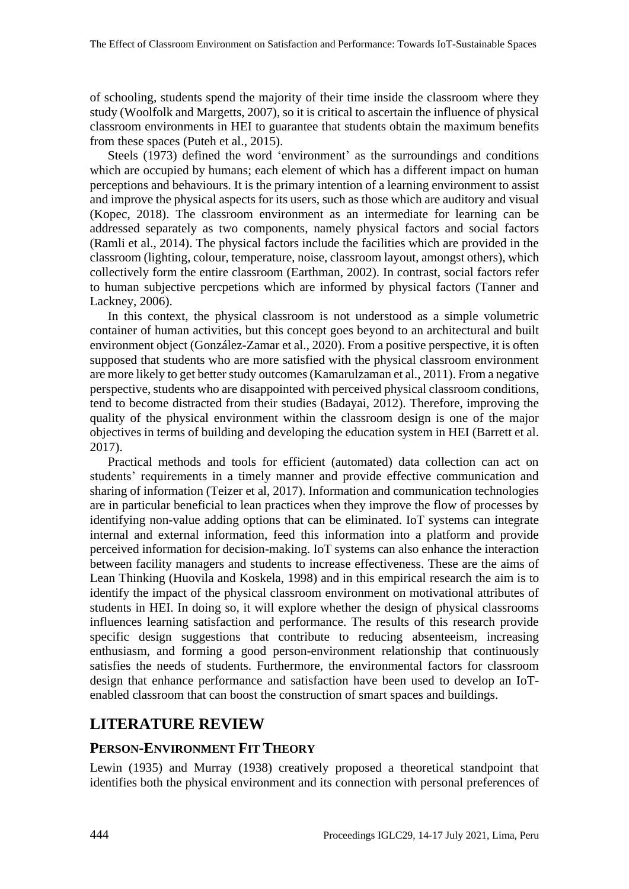of schooling, students spend the majority of their time inside the classroom where they study (Woolfolk and Margetts, 2007), so it is critical to ascertain the influence of physical classroom environments in HEI to guarantee that students obtain the maximum benefits from these spaces (Puteh et al., 2015).

Steels (1973) defined the word 'environment' as the surroundings and conditions which are occupied by humans; each element of which has a different impact on human perceptions and behaviours. It is the primary intention of a learning environment to assist and improve the physical aspects for its users, such as those which are auditory and visual (Kopec, 2018). The classroom environment as an intermediate for learning can be addressed separately as two components, namely physical factors and social factors (Ramli et al., 2014). The physical factors include the facilities which are provided in the classroom (lighting, colour, temperature, noise, classroom layout, amongst others), which collectively form the entire classroom (Earthman, 2002). In contrast, social factors refer to human subjective percpetions which are informed by physical factors (Tanner and Lackney, 2006).

In this context, the physical classroom is not understood as a simple volumetric container of human activities, but this concept goes beyond to an architectural and built environment object (González-Zamar et al., 2020). From a positive perspective, it is often supposed that students who are more satisfied with the physical classroom environment are more likely to get better study outcomes (Kamarulzaman et al., 2011). From a negative perspective, students who are disappointed with perceived physical classroom conditions, tend to become distracted from their studies (Badayai, 2012). Therefore, improving the quality of the physical environment within the classroom design is one of the major objectives in terms of building and developing the education system in HEI (Barrett et al. 2017).

Practical methods and tools for efficient (automated) data collection can act on students' requirements in a timely manner and provide effective communication and sharing of information (Teizer et al, 2017). Information and communication technologies are in particular beneficial to lean practices when they improve the flow of processes by identifying non-value adding options that can be eliminated. IoT systems can integrate internal and external information, feed this information into a platform and provide perceived information for decision-making. IoT systems can also enhance the interaction between facility managers and students to increase effectiveness. These are the aims of Lean Thinking (Huovila and Koskela, 1998) and in this empirical research the aim is to identify the impact of the physical classroom environment on motivational attributes of students in HEI. In doing so, it will explore whether the design of physical classrooms influences learning satisfaction and performance. The results of this research provide specific design suggestions that contribute to reducing absenteeism, increasing enthusiasm, and forming a good person-environment relationship that continuously satisfies the needs of students. Furthermore, the environmental factors for classroom design that enhance performance and satisfaction have been used to develop an IoTenabled classroom that can boost the construction of smart spaces and buildings.

## **LITERATURE REVIEW**

#### **PERSON-ENVIRONMENT FIT THEORY**

Lewin (1935) and Murray (1938) creatively proposed a theoretical standpoint that identifies both the physical environment and its connection with personal preferences of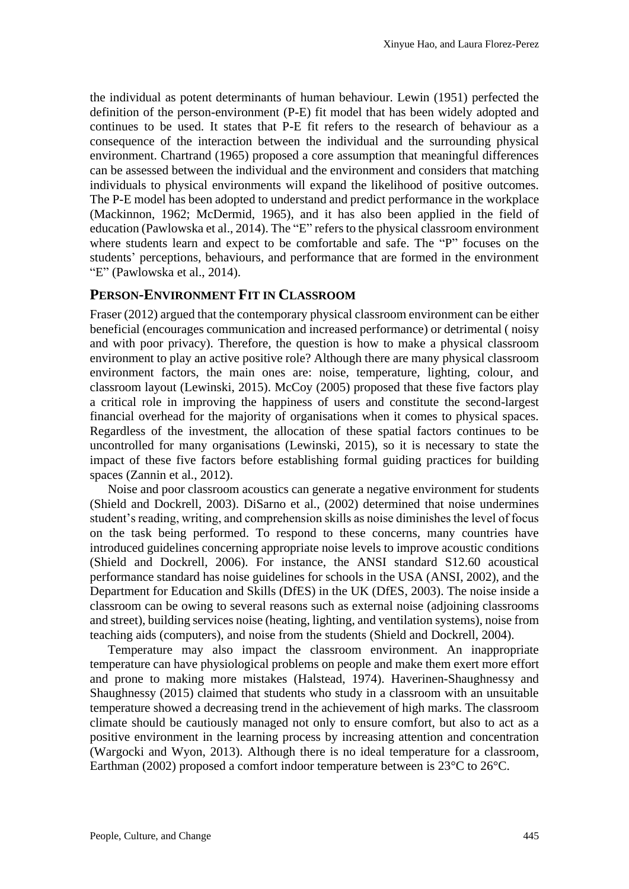the individual as potent determinants of human behaviour. Lewin (1951) perfected the definition of the person-environment (P-E) fit model that has been widely adopted and continues to be used. It states that P-E fit refers to the research of behaviour as a consequence of the interaction between the individual and the surrounding physical environment. Chartrand (1965) proposed a core assumption that meaningful differences can be assessed between the individual and the environment and considers that matching individuals to physical environments will expand the likelihood of positive outcomes. The P-E model has been adopted to understand and predict performance in the workplace (Mackinnon, 1962; McDermid, 1965), and it has also been applied in the field of education (Pawlowska et al., 2014). The "E" refers to the physical classroom environment where students learn and expect to be comfortable and safe. The "P" focuses on the students' perceptions, behaviours, and performance that are formed in the environment "E" (Pawlowska et al., 2014).

#### **PERSON-ENVIRONMENT FIT IN CLASSROOM**

Fraser (2012) argued that the contemporary physical classroom environment can be either beneficial (encourages communication and increased performance) or detrimental ( noisy and with poor privacy). Therefore, the question is how to make a physical classroom environment to play an active positive role? Although there are many physical classroom environment factors, the main ones are: noise, temperature, lighting, colour, and classroom layout (Lewinski, 2015). McCoy (2005) proposed that these five factors play a critical role in improving the happiness of users and constitute the second-largest financial overhead for the majority of organisations when it comes to physical spaces. Regardless of the investment, the allocation of these spatial factors continues to be uncontrolled for many organisations (Lewinski, 2015), so it is necessary to state the impact of these five factors before establishing formal guiding practices for building spaces (Zannin et al., 2012).

Noise and poor classroom acoustics can generate a negative environment for students (Shield and Dockrell, 2003). DiSarno et al., (2002) determined that noise undermines student's reading, writing, and comprehension skills as noise diminishes the level of focus on the task being performed. To respond to these concerns, many countries have introduced guidelines concerning appropriate noise levels to improve acoustic conditions (Shield and Dockrell, 2006). For instance, the ANSI standard S12.60 acoustical performance standard has noise guidelines for schools in the USA (ANSI, 2002), and the Department for Education and Skills (DfES) in the UK (DfES, 2003). The noise inside a classroom can be owing to several reasons such as external noise (adjoining classrooms and street), building services noise (heating, lighting, and ventilation systems), noise from teaching aids (computers), and noise from the students (Shield and Dockrell, 2004).

Temperature may also impact the classroom environment. An inappropriate temperature can have physiological problems on people and make them exert more effort and prone to making more mistakes (Halstead, 1974). Haverinen-Shaughnessy and Shaughnessy (2015) claimed that students who study in a classroom with an unsuitable temperature showed a decreasing trend in the achievement of high marks. The classroom climate should be cautiously managed not only to ensure comfort, but also to act as a positive environment in the learning process by increasing attention and concentration (Wargocki and Wyon, 2013). Although there is no ideal temperature for a classroom, Earthman (2002) proposed a comfort indoor temperature between is 23°C to 26°C.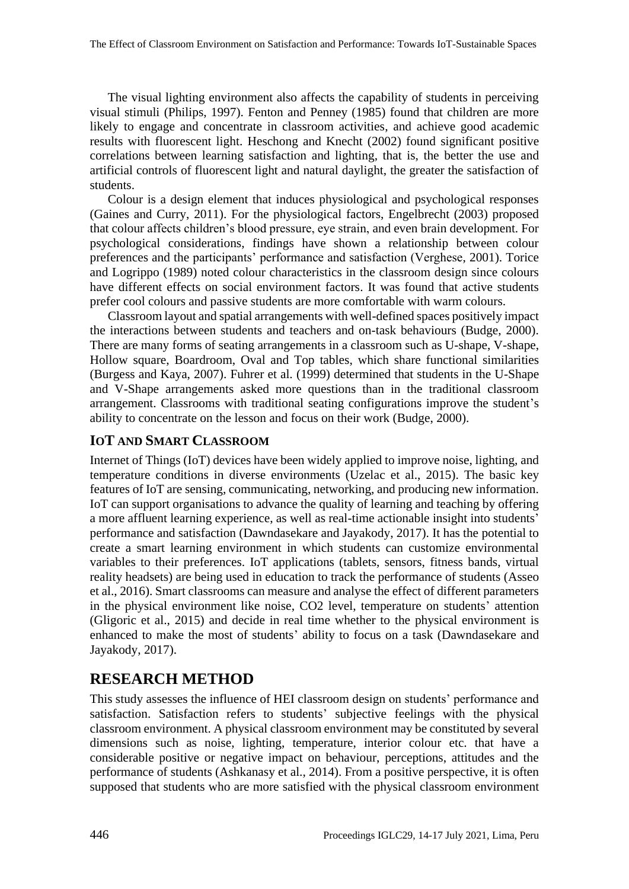The visual lighting environment also affects the capability of students in perceiving visual stimuli (Philips, 1997). Fenton and Penney (1985) found that children are more likely to engage and concentrate in classroom activities, and achieve good academic results with fluorescent light. Heschong and Knecht (2002) found significant positive correlations between learning satisfaction and lighting, that is, the better the use and artificial controls of fluorescent light and natural daylight, the greater the satisfaction of students.

Colour is a design element that induces physiological and psychological responses (Gaines and Curry, 2011). For the physiological factors, Engelbrecht (2003) proposed that colour affects children's blood pressure, eye strain, and even brain development. For psychological considerations, findings have shown a relationship between colour preferences and the participants' performance and satisfaction (Verghese, 2001). Torice and Logrippo (1989) noted colour characteristics in the classroom design since colours have different effects on social environment factors. It was found that active students prefer cool colours and passive students are more comfortable with warm colours.

Classroom layout and spatial arrangements with well-defined spaces positively impact the interactions between students and teachers and on-task behaviours (Budge, 2000). There are many forms of seating arrangements in a classroom such as U-shape, V-shape, Hollow square, Boardroom, Oval and Top tables, which share functional similarities (Burgess and Kaya, 2007). Fuhrer et al. (1999) determined that students in the U-Shape and V-Shape arrangements asked more questions than in the traditional classroom arrangement. Classrooms with traditional seating configurations improve the student's ability to concentrate on the lesson and focus on their work (Budge, 2000).

### **IOT AND SMART CLASSROOM**

Internet of Things (IoT) devices have been widely applied to improve noise, lighting, and temperature conditions in diverse environments (Uzelac et al., 2015). The basic key features of IoT are sensing, communicating, networking, and producing new information. IoT can support organisations to advance the quality of learning and teaching by offering a more affluent learning experience, as well as real-time actionable insight into students' performance and satisfaction (Dawndasekare and Jayakody, 2017). It has the potential to create a smart learning environment in which students can customize environmental variables to their preferences. IoT applications (tablets, sensors, fitness bands, virtual reality headsets) are being used in education to track the performance of students (Asseo et al., 2016). Smart classrooms can measure and analyse the effect of different parameters in the physical environment like noise, CO2 level, temperature on students' attention (Gligoric et al., 2015) and decide in real time whether to the physical environment is enhanced to make the most of students' ability to focus on a task (Dawndasekare and Jayakody, 2017).

## **RESEARCH METHOD**

This study assesses the influence of HEI classroom design on students' performance and satisfaction. Satisfaction refers to students' subjective feelings with the physical classroom environment. A physical classroom environment may be constituted by several dimensions such as noise, lighting, temperature, interior colour etc. that have a considerable positive or negative impact on behaviour, perceptions, attitudes and the performance of students (Ashkanasy et al., 2014). From a positive perspective, it is often supposed that students who are more satisfied with the physical classroom environment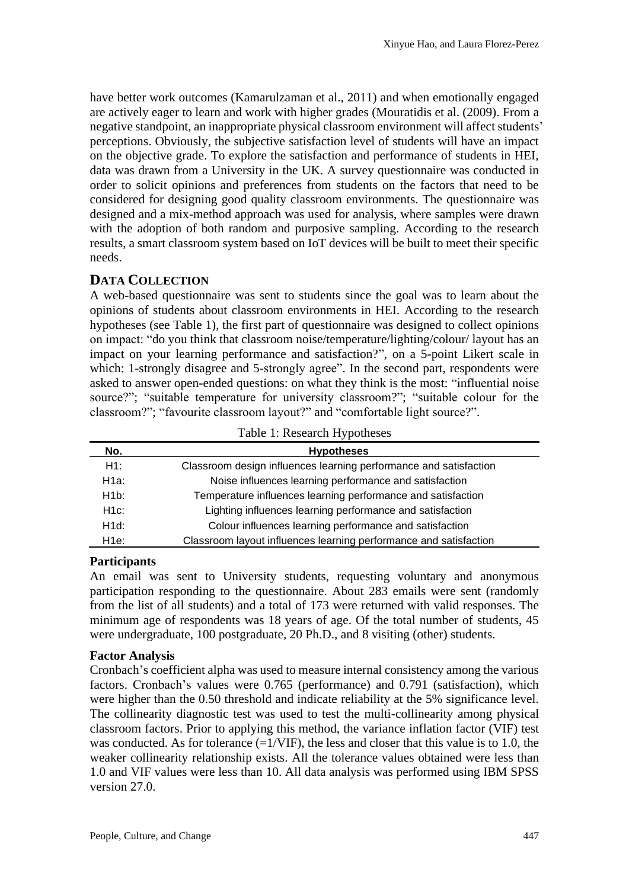have better work outcomes (Kamarulzaman et al., 2011) and when emotionally engaged are actively eager to learn and work with higher grades (Mouratidis et al. (2009). From a negative standpoint, an inappropriate physical classroom environment will affect students' perceptions. Obviously, the subjective satisfaction level of students will have an impact on the objective grade. To explore the satisfaction and performance of students in HEI, data was drawn from a University in the UK. A survey questionnaire was conducted in order to solicit opinions and preferences from students on the factors that need to be considered for designing good quality classroom environments. The questionnaire was designed and a mix-method approach was used for analysis, where samples were drawn with the adoption of both random and purposive sampling. According to the research results, a smart classroom system based on IoT devices will be built to meet their specific needs.

#### **DATA COLLECTION**

A web-based questionnaire was sent to students since the goal was to learn about the opinions of students about classroom environments in HEI. According to the research hypotheses (see Table 1), the first part of questionnaire was designed to collect opinions on impact: "do you think that classroom noise/temperature/lighting/colour/ layout has an impact on your learning performance and satisfaction?", on a 5-point Likert scale in which: 1-strongly disagree and 5-strongly agree". In the second part, respondents were asked to answer open-ended questions: on what they think is the most: "influential noise source?"; "suitable temperature for university classroom?"; "suitable colour for the classroom?"; "favourite classroom layout?" and "comfortable light source?".

| No.     | <b>Hypotheses</b>                                                 |  |  |  |  |  |  |
|---------|-------------------------------------------------------------------|--|--|--|--|--|--|
| H1:     | Classroom design influences learning performance and satisfaction |  |  |  |  |  |  |
| H1a:    | Noise influences learning performance and satisfaction            |  |  |  |  |  |  |
| H1b:    | Temperature influences learning performance and satisfaction      |  |  |  |  |  |  |
| $H1c$ : | Lighting influences learning performance and satisfaction         |  |  |  |  |  |  |
| H1d:    | Colour influences learning performance and satisfaction           |  |  |  |  |  |  |
| Н1е:    | Classroom layout influences learning performance and satisfaction |  |  |  |  |  |  |

Table 1: Research Hypotheses

#### **Participants**

An email was sent to University students, requesting voluntary and anonymous participation responding to the questionnaire. About 283 emails were sent (randomly from the list of all students) and a total of 173 were returned with valid responses. The minimum age of respondents was 18 years of age. Of the total number of students, 45 were undergraduate, 100 postgraduate, 20 Ph.D., and 8 visiting (other) students.

#### **Factor Analysis**

Cronbach's coefficient alpha was used to measure internal consistency among the various factors. Cronbach's values were 0.765 (performance) and 0.791 (satisfaction), which were higher than the 0.50 threshold and indicate reliability at the 5% significance level. The collinearity diagnostic test was used to test the multi-collinearity among physical classroom factors. Prior to applying this method, the variance inflation factor (VIF) test was conducted. As for tolerance  $(=1/VIF)$ , the less and closer that this value is to 1.0, the weaker collinearity relationship exists. All the tolerance values obtained were less than 1.0 and VIF values were less than 10. All data analysis was performed using IBM SPSS version 27.0.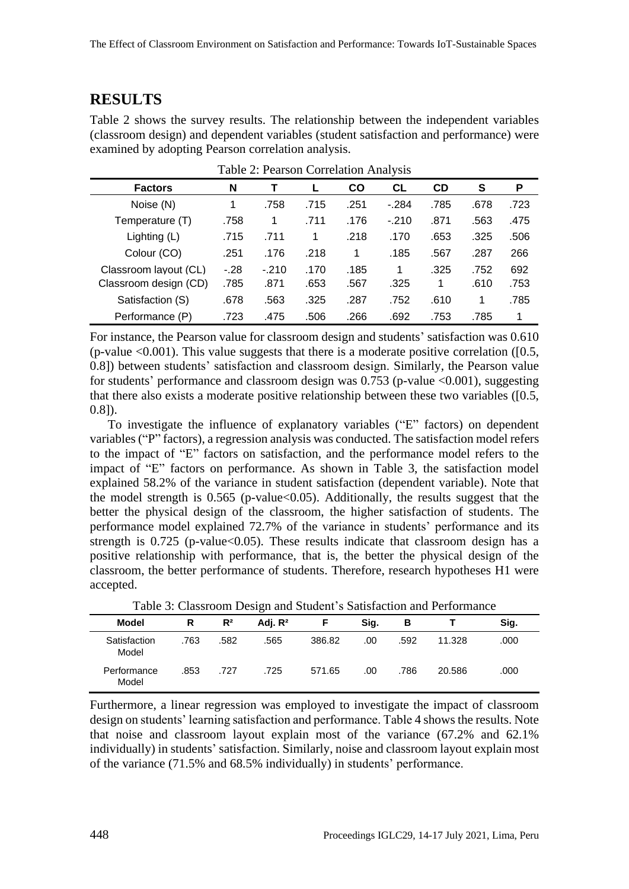## **RESULTS**

Table 2 shows the survey results. The relationship between the independent variables (classroom design) and dependent variables (student satisfaction and performance) were examined by adopting Pearson correlation analysis.

| <b>Factors</b>        | N      |         |      | CO   | <b>CL</b> | <b>CD</b> | S    | P    |
|-----------------------|--------|---------|------|------|-----------|-----------|------|------|
| Noise (N)             | 1      | .758    | .715 | .251 | $-.284$   | .785      | .678 | .723 |
| Temperature (T)       | .758   | 1       | .711 | .176 | $-.210$   | .871      | .563 | .475 |
| Lighting (L)          | .715   | .711    | 1    | .218 | .170      | .653      | .325 | .506 |
| Colour (CO)           | .251   | .176    | .218 | 1    | .185      | .567      | .287 | 266  |
| Classroom layout (CL) | $-.28$ | $-.210$ | .170 | .185 | 1         | .325      | .752 | 692  |
| Classroom design (CD) | .785   | .871    | .653 | .567 | .325      | 1         | .610 | .753 |
| Satisfaction (S)      | .678   | .563    | .325 | .287 | .752      | .610      |      | .785 |
| Performance (P)       | .723   | .475    | .506 | .266 | .692      | .753      | .785 | 1    |

Table 2: Pearson Correlation Analysis

For instance, the Pearson value for classroom design and students' satisfaction was 0.610 (p-value  $\leq 0.001$ ). This value suggests that there is a moderate positive correlation ([0.5, 0.8]) between students' satisfaction and classroom design. Similarly, the Pearson value for students' performance and classroom design was 0.753 (p-value <0.001), suggesting that there also exists a moderate positive relationship between these two variables ([0.5, 0.8]).

To investigate the influence of explanatory variables ("E" factors) on dependent variables ("P" factors), a regression analysis was conducted. The satisfaction model refers to the impact of "E" factors on satisfaction, and the performance model refers to the impact of "E" factors on performance. As shown in Table 3, the satisfaction model explained 58.2% of the variance in student satisfaction (dependent variable). Note that the model strength is  $0.565$  (p-value $<0.05$ ). Additionally, the results suggest that the better the physical design of the classroom, the higher satisfaction of students. The performance model explained 72.7% of the variance in students' performance and its strength is  $0.725$  (p-value< $0.05$ ). These results indicate that classroom design has a positive relationship with performance, that is, the better the physical design of the classroom, the better performance of students. Therefore, research hypotheses H1 were accepted.

| Table 3: Classroom Design and Student's Satisfaction and Performance |
|----------------------------------------------------------------------|
|----------------------------------------------------------------------|

| <b>Model</b>          | R    | $R^2$ | Adj. $R^2$ |        | Sig. | в    |        | Sig. |
|-----------------------|------|-------|------------|--------|------|------|--------|------|
| Satisfaction<br>Model | .763 | .582  | .565       | 386.82 | .00  | .592 | 11.328 | .000 |
| Performance<br>Model  | .853 | .727  | .725       | 571.65 | .00  | .786 | 20.586 | .000 |

Furthermore, a linear regression was employed to investigate the impact of classroom design on students' learning satisfaction and performance. Table 4 shows the results. Note that noise and classroom layout explain most of the variance (67.2% and 62.1% individually) in students' satisfaction. Similarly, noise and classroom layout explain most of the variance (71.5% and 68.5% individually) in students' performance.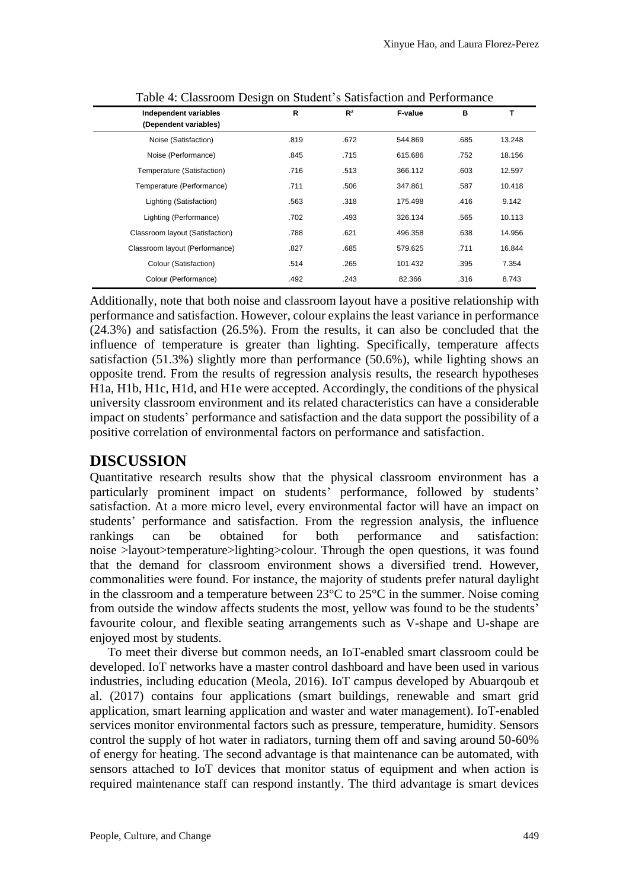|                                                | ັ    |                |         |      |        |
|------------------------------------------------|------|----------------|---------|------|--------|
| Independent variables<br>(Dependent variables) | R    | R <sup>2</sup> | F-value | B    | т      |
| Noise (Satisfaction)                           | .819 | .672           | 544.869 | .685 | 13.248 |
| Noise (Performance)                            | .845 | .715           | 615.686 | .752 | 18.156 |
| Temperature (Satisfaction)                     | .716 | .513           | 366.112 | .603 | 12.597 |
| Temperature (Performance)                      | .711 | .506           | 347.861 | .587 | 10.418 |
| Lighting (Satisfaction)                        | .563 | .318           | 175.498 | .416 | 9.142  |
| Lighting (Performance)                         | .702 | .493           | 326.134 | .565 | 10.113 |
| Classroom layout (Satisfaction)                | .788 | .621           | 496.358 | .638 | 14.956 |
| Classroom layout (Performance)                 | .827 | .685           | 579.625 | .711 | 16.844 |
| Colour (Satisfaction)                          | .514 | .265           | 101.432 | .395 | 7.354  |
| Colour (Performance)                           | .492 | .243           | 82.366  | .316 | 8.743  |
|                                                |      |                |         |      |        |

Table 4: Classroom Design on Student's Satisfaction and Performance

Additionally, note that both noise and classroom layout have a positive relationship with performance and satisfaction. However, colour explains the least variance in performance (24.3%) and satisfaction (26.5%). From the results, it can also be concluded that the influence of temperature is greater than lighting. Specifically, temperature affects satisfaction (51.3%) slightly more than performance (50.6%), while lighting shows an opposite trend. From the results of regression analysis results, the research hypotheses H1a, H1b, H1c, H1d, and H1e were accepted. Accordingly, the conditions of the physical university classroom environment and its related characteristics can have a considerable impact on students' performance and satisfaction and the data support the possibility of a positive correlation of environmental factors on performance and satisfaction.

## **DISCUSSION**

Quantitative research results show that the physical classroom environment has a particularly prominent impact on students' performance, followed by students' satisfaction. At a more micro level, every environmental factor will have an impact on students' performance and satisfaction. From the regression analysis, the influence rankings can be obtained for both performance and satisfaction: noise >layout>temperature>lighting>colour. Through the open questions, it was found that the demand for classroom environment shows a diversified trend. However, commonalities were found. For instance, the majority of students prefer natural daylight in the classroom and a temperature between 23°C to 25°C in the summer. Noise coming from outside the window affects students the most, yellow was found to be the students' favourite colour, and flexible seating arrangements such as V-shape and U-shape are enjoyed most by students.

To meet their diverse but common needs, an IoT-enabled smart classroom could be developed. IoT networks have a master control dashboard and have been used in various industries, including education (Meola, 2016). IoT campus developed by Abuarqoub et al. (2017) contains four applications (smart buildings, renewable and smart grid application, smart learning application and waster and water management). IoT-enabled services monitor environmental factors such as pressure, temperature, humidity. Sensors control the supply of hot water in radiators, turning them off and saving around 50-60% of energy for heating. The second advantage is that maintenance can be automated, with sensors attached to IoT devices that monitor status of equipment and when action is required maintenance staff can respond instantly. The third advantage is smart devices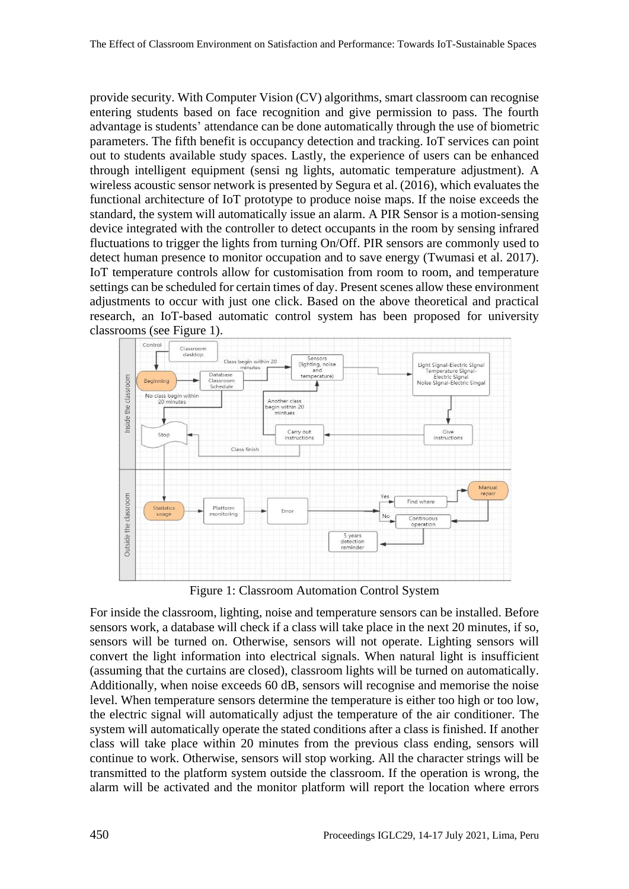provide security. With Computer Vision (CV) algorithms, smart classroom can recognise entering students based on face recognition and give permission to pass. The fourth advantage is students' attendance can be done automatically through the use of biometric parameters. The fifth benefit is occupancy detection and tracking. IoT services can point out to students available study spaces. Lastly, the experience of users can be enhanced through intelligent equipment (sensi ng lights, automatic temperature adjustment). A wireless acoustic sensor network is presented by Segura et al. (2016), which evaluates the functional architecture of IoT prototype to produce noise maps. If the noise exceeds the standard, the system will automatically issue an alarm. A PIR Sensor is a motion-sensing device integrated with the controller to detect occupants in the room by sensing infrared fluctuations to trigger the lights from turning On/Off. PIR sensors are commonly used to detect human presence to monitor occupation and to save energy (Twumasi et al. 2017). IoT temperature controls allow for customisation from room to room, and temperature settings can be scheduled for certain times of day. Present scenes allow these environment adjustments to occur with just one click. Based on the above theoretical and practical research, an IoT-based automatic control system has been proposed for university classrooms (see Figure 1).



Figure 1: Classroom Automation Control System

For inside the classroom, lighting, noise and temperature sensors can be installed. Before sensors work, a database will check if a class will take place in the next 20 minutes, if so, sensors will be turned on. Otherwise, sensors will not operate. Lighting sensors will convert the light information into electrical signals. When natural light is insufficient (assuming that the curtains are closed), classroom lights will be turned on automatically. Additionally, when noise exceeds 60 dB, sensors will recognise and memorise the noise level. When temperature sensors determine the temperature is either too high or too low, the electric signal will automatically adjust the temperature of the air conditioner. The system will automatically operate the stated conditions after a class is finished. If another class will take place within 20 minutes from the previous class ending, sensors will continue to work. Otherwise, sensors will stop working. All the character strings will be transmitted to the platform system outside the classroom. If the operation is wrong, the alarm will be activated and the monitor platform will report the location where errors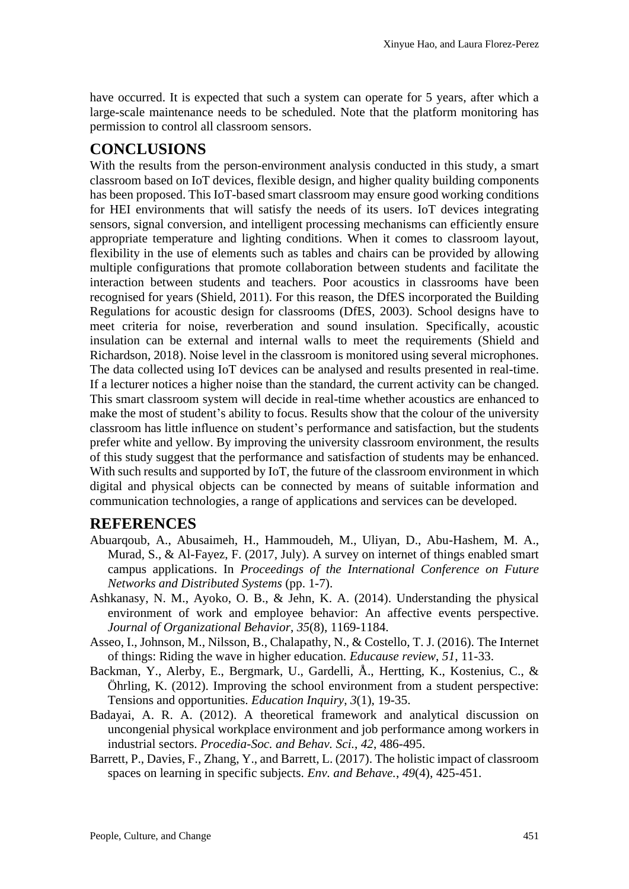have occurred. It is expected that such a system can operate for 5 years, after which a large-scale maintenance needs to be scheduled. Note that the platform monitoring has permission to control all classroom sensors.

## **CONCLUSIONS**

With the results from the person-environment analysis conducted in this study, a smart classroom based on IoT devices, flexible design, and higher quality building components has been proposed. This IoT-based smart classroom may ensure good working conditions for HEI environments that will satisfy the needs of its users. IoT devices integrating sensors, signal conversion, and intelligent processing mechanisms can efficiently ensure appropriate temperature and lighting conditions. When it comes to classroom layout, flexibility in the use of elements such as tables and chairs can be provided by allowing multiple configurations that promote collaboration between students and facilitate the interaction between students and teachers. Poor acoustics in classrooms have been recognised for years (Shield, 2011). For this reason, the DfES incorporated the Building Regulations for acoustic design for classrooms (DfES, 2003). School designs have to meet criteria for noise, reverberation and sound insulation. Specifically, acoustic insulation can be external and internal walls to meet the requirements (Shield and Richardson, 2018). Noise level in the classroom is monitored using several microphones. The data collected using IoT devices can be analysed and results presented in real-time. If a lecturer notices a higher noise than the standard, the current activity can be changed. This smart classroom system will decide in real-time whether acoustics are enhanced to make the most of student's ability to focus. Results show that the colour of the university classroom has little influence on student's performance and satisfaction, but the students prefer white and yellow. By improving the university classroom environment, the results of this study suggest that the performance and satisfaction of students may be enhanced. With such results and supported by IoT, the future of the classroom environment in which digital and physical objects can be connected by means of suitable information and communication technologies, a range of applications and services can be developed.

## **REFERENCES**

- Abuarqoub, A., Abusaimeh, H., Hammoudeh, M., Uliyan, D., Abu-Hashem, M. A., Murad, S., & Al-Fayez, F. (2017, July). A survey on internet of things enabled smart campus applications. In *Proceedings of the International Conference on Future Networks and Distributed Systems* (pp. 1-7).
- Ashkanasy, N. M., Ayoko, O. B., & Jehn, K. A. (2014). Understanding the physical environment of work and employee behavior: An affective events perspective. *Journal of Organizational Behavior*, *35*(8), 1169-1184.
- Asseo, I., Johnson, M., Nilsson, B., Chalapathy, N., & Costello, T. J. (2016). The Internet of things: Riding the wave in higher education. *Educause review*, *51*, 11-33.
- Backman, Y., Alerby, E., Bergmark, U., Gardelli, Å., Hertting, K., Kostenius, C., & Öhrling, K. (2012). Improving the school environment from a student perspective: Tensions and opportunities. *Education Inquiry*, *3*(1), 19-35.
- Badayai, A. R. A. (2012). A theoretical framework and analytical discussion on uncongenial physical workplace environment and job performance among workers in industrial sectors. *Procedia-Soc. and Behav. Sci.*, *42*, 486-495.
- Barrett, P., Davies, F., Zhang, Y., and Barrett, L. (2017). The holistic impact of classroom spaces on learning in specific subjects. *Env. and Behave.*, *49*(4), 425-451.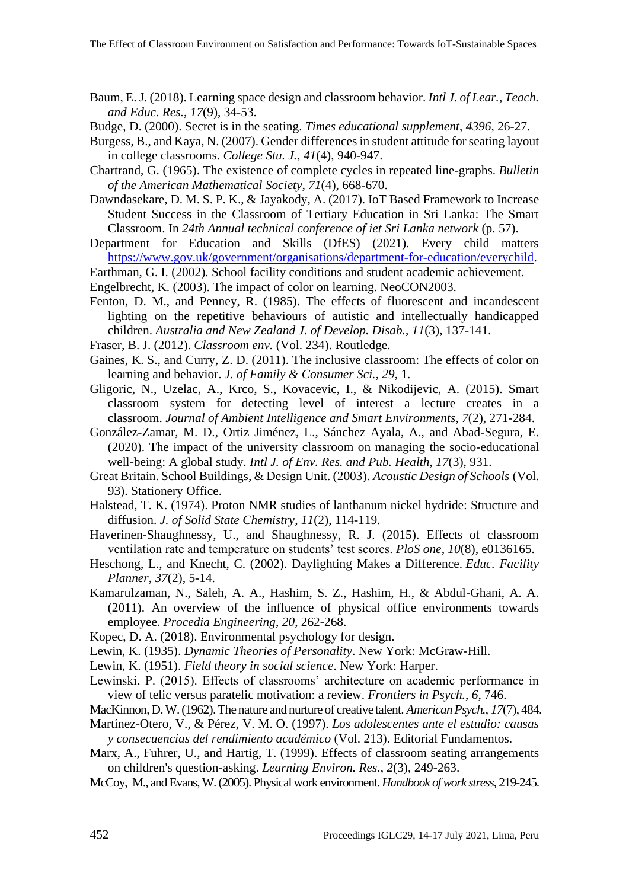- Baum, E. J. (2018). Learning space design and classroom behavior. *Intl J. of Lear., Teach. and Educ. Res.*, *17*(9), 34-53.
- Budge, D. (2000). Secret is in the seating. *Times educational supplement*, *4396*, 26-27.
- Burgess, B., and Kaya, N. (2007). Gender differences in student attitude for seating layout in college classrooms. *College Stu. J.*, *41*(4), 940-947.
- Chartrand, G. (1965). The existence of complete cycles in repeated line-graphs. *Bulletin of the American Mathematical Society*, *71*(4), 668-670.
- Dawndasekare, D. M. S. P. K., & Jayakody, A. (2017). IoT Based Framework to Increase Student Success in the Classroom of Tertiary Education in Sri Lanka: The Smart Classroom. In *24th Annual technical conference of iet Sri Lanka network* (p. 57).
- Department for Education and Skills (DfES) (2021). Every child matters [https://www.gov.uk/government/organisations/department-for-education/everychild.](https://www.gov.uk/government/organisations/department-for-education/everychild)
- Earthman, G. I. (2002). School facility conditions and student academic achievement.
- Engelbrecht, K. (2003). The impact of color on learning. NeoCON2003.
- Fenton, D. M., and Penney, R. (1985). The effects of fluorescent and incandescent lighting on the repetitive behaviours of autistic and intellectually handicapped children. *Australia and New Zealand J. of Develop. Disab.*, *11*(3), 137-141.
- Fraser, B. J. (2012). *Classroom env.* (Vol. 234). Routledge.
- Gaines, K. S., and Curry, Z. D. (2011). The inclusive classroom: The effects of color on learning and behavior. *J. of Family & Consumer Sci.*, *29*, 1.
- Gligoric, N., Uzelac, A., Krco, S., Kovacevic, I., & Nikodijevic, A. (2015). Smart classroom system for detecting level of interest a lecture creates in a classroom. *Journal of Ambient Intelligence and Smart Environments*, *7*(2), 271-284.
- González-Zamar, M. D., Ortiz Jiménez, L., Sánchez Ayala, A., and Abad-Segura, E. (2020). The impact of the university classroom on managing the socio-educational well-being: A global study. *Intl J. of Env. Res. and Pub. Health*, *17*(3), 931.
- Great Britain. School Buildings, & Design Unit. (2003). *Acoustic Design of Schools* (Vol. 93). Stationery Office.
- Halstead, T. K. (1974). Proton NMR studies of lanthanum nickel hydride: Structure and diffusion. *J. of Solid State Chemistry*, *11*(2), 114-119.
- Haverinen-Shaughnessy, U., and Shaughnessy, R. J. (2015). Effects of classroom ventilation rate and temperature on students' test scores. *PloS one*, *10*(8), e0136165.
- Heschong, L., and Knecht, C. (2002). Daylighting Makes a Difference. *Educ. Facility Planner*, *37*(2), 5-14.
- Kamarulzaman, N., Saleh, A. A., Hashim, S. Z., Hashim, H., & Abdul-Ghani, A. A. (2011). An overview of the influence of physical office environments towards employee. *Procedia Engineering*, *20*, 262-268.
- Kopec, D. A. (2018). Environmental psychology for design.
- Lewin, K. (1935). *Dynamic Theories of Personality*. New York: McGraw-Hill.
- Lewin, K. (1951). *Field theory in social science*. New York: Harper.
- Lewinski, P. (2015). Effects of classrooms' architecture on academic performance in view of telic versus paratelic motivation: a review. *Frontiers in Psych.*, *6*, 746.
- MacKinnon, D. W. (1962). The nature and nurture of creative talent. *American Psych.*, *17*(7), 484.
- Martínez-Otero, V., & Pérez, V. M. O. (1997). *Los adolescentes ante el estudio: causas y consecuencias del rendimiento académico* (Vol. 213). Editorial Fundamentos.
- Marx, A., Fuhrer, U., and Hartig, T. (1999). Effects of classroom seating arrangements on children's question-asking. *Learning Environ. Res.*, *2*(3), 249-263.
- McCoy, M., and Evans, W. (2005). Physical work environment. *Handbook of work stress*, 219-245.